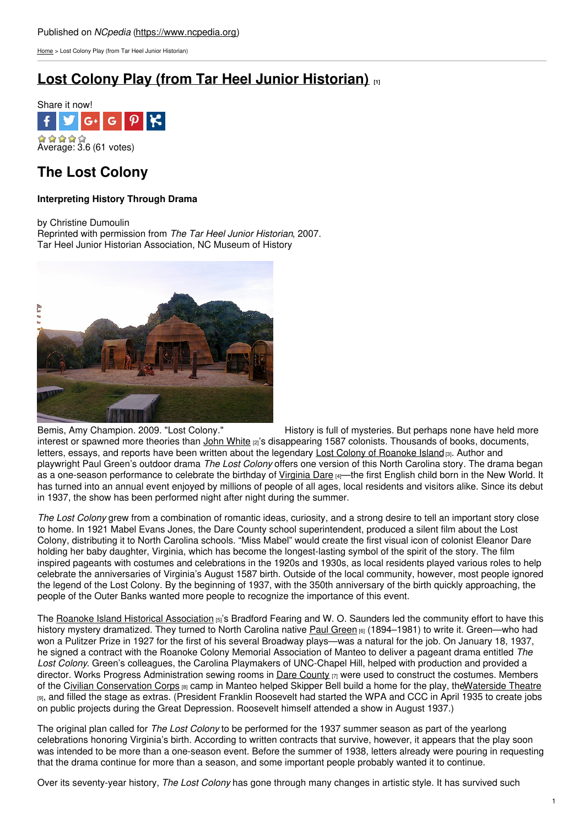[Home](https://www.ncpedia.org/) > Lost Colony Play (from Tar Heel Junior Historian)

# **Lost Colony Play (from Tar Heel Junior [Historian\)](https://www.ncpedia.org/culture/performing-arts/lost-colony-play) [1]**



## **The Lost Colony**

### **Interpreting History Through Drama**

by Christine Dumoulin

Reprinted with permission from *The Tar Heel Junior Historian*, 2007. Tar Heel Junior Historian Association, NC Museum of History



Bemis, Amy Champion. 2009. "Lost Colony." History is full of mysteries. But perhaps none have held more interest or spawned more theories than John [White](https://www.ncpedia.org/biography/governors/white) [2]'s disappearing 1587 colonists. Thousands of books, documents, letters, essays, and reports have been written about the legendary Lost Colony of [Roanoke](https://www.ncpedia.org/history/colonial/roanoke-island) Island [3]. Author and playwright Paul Green's outdoor drama *The Lost Colony* offers one version of this North Carolina story. The drama began as a one-season performance to celebrate the birthday of [Virginia](https://www.ncpedia.org/culture/legends/virginia-dare) Dare [4]—the first English child born in the New World. It has turned into an annual event enjoyed by millions of people of all ages, local residents and visitors alike. Since its debut in 1937, the show has been performed night after night during the summer.

*The Lost Colony* grew from a combination of romantic ideas, curiosity, and a strong desire to tell an important story close to home. In 1921 Mabel Evans Jones, the Dare County school superintendent, produced a silent film about the Lost Colony, distributing it to North Carolina schools. "Miss Mabel" would create the first visual icon of colonist Eleanor Dare holding her baby daughter, Virginia, which has become the longest-lasting symbol of the spirit of the story. The film inspired pageants with costumes and celebrations in the 1920s and 1930s, as local residents played various roles to help celebrate the anniversaries of Virginia's August 1587 birth. Outside of the local community, however, most people ignored the legend of the Lost Colony. By the beginning of 1937, with the 350th anniversary of the birth quickly approaching, the people of the Outer Banks wanted more people to recognize the importance of this event.

The Roanoke Island Historical [Association](http://www.thelostcolony.org/Board_Of_Directors.htm) [5]'s Bradford Fearing and W. O. Saunders led the community effort to have this history mystery dramatized. They turned to North Carolina native Paul [Green](https://www.ncwriters.org/services/lhof/inductees/pgreen.htm) (6) (1894–1981) to write it. Green—who had won a Pulitzer Prize in 1927 for the first of his several Broadway plays—was a natural for the job. On January 18, 1937, he signed a contract with the Roanoke Colony Memorial Association of Manteo to deliver a pageant drama entitled *The Lost Colony*. Green's colleagues, the Carolina Playmakers of UNC-Chapel Hill, helped with production and provided a director. Works Progress Administration sewing rooms in **Dare [County](https://www.ncpedia.org/geography/dare) [7]** were used to construct the costumes. Members of the Civilian [Conservation](https://www.ncpedia.org/history/20th-Century/ccc) Corps [8] camp in Manteo helped Skipper Bell build a home for the play, th[eWaterside](http://www.thelostcolony.org/Waterside_Theatre.htm) Theatre [9], and filled the stage as extras. (President Franklin Roosevelt had started the WPA and CCC in April 1935 to create jobs on public projects during the Great Depression. Roosevelt himself attended a show in August 1937.)

The original plan called for *The Lost Colony* to be performed for the 1937 summer season as part of the yearlong celebrations honoring Virginia's birth. According to written contracts that survive, however, it appears that the play soon was intended to be more than a one-season event. Before the summer of 1938, letters already were pouring in requesting that the drama continue for more than a season, and some important people probably wanted it to continue.

Over its seventy-year history, *The Lost Colony* has gone through many changes in artistic style. It has survived such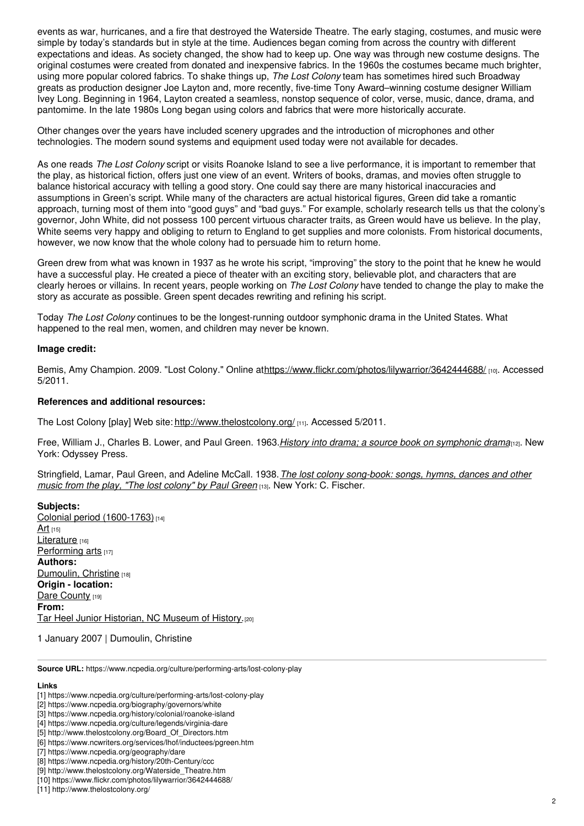events as war, hurricanes, and a fire that destroyed the Waterside Theatre. The early staging, costumes, and music were simple by today's standards but in style at the time. Audiences began coming from across the country with different expectations and ideas. As society changed, the show had to keep up. One way was through new costume designs. The original costumes were created from donated and inexpensive fabrics. In the 1960s the costumes became much brighter, using more popular colored fabrics. To shake things up, *The Lost Colony* team has sometimes hired such Broadway greats as production designer Joe Layton and, more recently, five-time Tony Award–winning costume designer William Ivey Long. Beginning in 1964, Layton created a seamless, nonstop sequence of color, verse, music, dance, drama, and pantomime. In the late 1980s Long began using colors and fabrics that were more historically accurate.

Other changes over the years have included scenery upgrades and the introduction of microphones and other technologies. The modern sound systems and equipment used today were not available for decades.

As one reads *The Lost Colony* script or visits Roanoke Island to see a live performance, it is important to remember that the play, as historical fiction, offers just one view of an event. Writers of books, dramas, and movies often struggle to balance historical accuracy with telling a good story. One could say there are many historical inaccuracies and assumptions in Green's script. While many of the characters are actual historical figures, Green did take a romantic approach, turning most of them into "good guys" and "bad guys." For example, scholarly research tells us that the colony's governor, John White, did not possess 100 percent virtuous character traits, as Green would have us believe. In the play, White seems very happy and obliging to return to England to get supplies and more colonists. From historical documents, however, we now know that the whole colony had to persuade him to return home.

Green drew from what was known in 1937 as he wrote his script, "improving" the story to the point that he knew he would have a successful play. He created a piece of theater with an exciting story, believable plot, and characters that are clearly heroes or villains. In recent years, people working on *The Lost Colony* have tended to change the play to make the story as accurate as possible. Green spent decades rewriting and refining his script.

Today *The Lost Colony* continues to be the longest-running outdoor symphonic drama in the United States. What happened to the real men, women, and children may never be known.

#### **Image credit:**

Bemis, Amy Champion. 2009. "Lost Colony." Online a[thttps://www.flickr.com/photos/lilywarrior/3642444688/](https://www.flickr.com/photos/lilywarrior/3642444688/) [10]. Accessed 5/2011.

#### **References and additional resources:**

The Lost Colony [play] Web site: <http://www.thelostcolony.org/> [11]. Accessed 5/2011.

Free, William J., Charles B. Lower, and Paul Green. 1963.*History into drama; a source book on [symphonic](https://www.worldcat.org/oclc/1336986) drama*[12]. New York: Odyssey Press.

Stringfield, Lamar, Paul Green, and Adeline McCall. 1938.*The lost colony [song-book:](https://www.worldcat.org/oclc/2504984) songs, hymns, dances and other music from the play, "The lost colony" by Paul Green* [13]. New York: C. Fischer.

**Subjects:** Colonial period [\(1600-1763\)](https://www.ncpedia.org/category/subjects/colonial-period) [14]  $Art_{[15]}$  $Art_{[15]}$ [Literature](https://www.ncpedia.org/category/subjects/literature) [16] [Performing](https://www.ncpedia.org/category/subjects/performing-arts) arts [17] **Authors:** [Dumoulin,](https://www.ncpedia.org/category/authors/dumoulin-christine) Christine [18] **Origin - location:** Dare [County](https://www.ncpedia.org/category/origin-location/coastal-25) [19] **From:** Tar Heel Junior [Historian,](https://www.ncpedia.org/category/entry-source/tar-heel-juni) NC Museum of History.<sup>[20]</sup>

1 January 2007 | Dumoulin, Christine

**Source URL:** https://www.ncpedia.org/culture/performing-arts/lost-colony-play

#### **Links**

<sup>[1]</sup> https://www.ncpedia.org/culture/performing-arts/lost-colony-play

<sup>[2]</sup> https://www.ncpedia.org/biography/governors/white

<sup>[3]</sup> https://www.ncpedia.org/history/colonial/roanoke-island

<sup>[4]</sup> https://www.ncpedia.org/culture/legends/virginia-dare

<sup>[5]</sup> http://www.thelostcolony.org/Board\_Of\_Directors.htm

<sup>[6]</sup> https://www.ncwriters.org/services/lhof/inductees/pgreen.htm

<sup>[7]</sup> https://www.ncpedia.org/geography/dare

<sup>[8]</sup> https://www.ncpedia.org/history/20th-Century/ccc

<sup>[9]</sup> http://www.thelostcolony.org/Waterside\_Theatre.htm

<sup>[10]</sup> https://www.flickr.com/photos/lilywarrior/3642444688/

<sup>[11]</sup> http://www.thelostcolony.org/